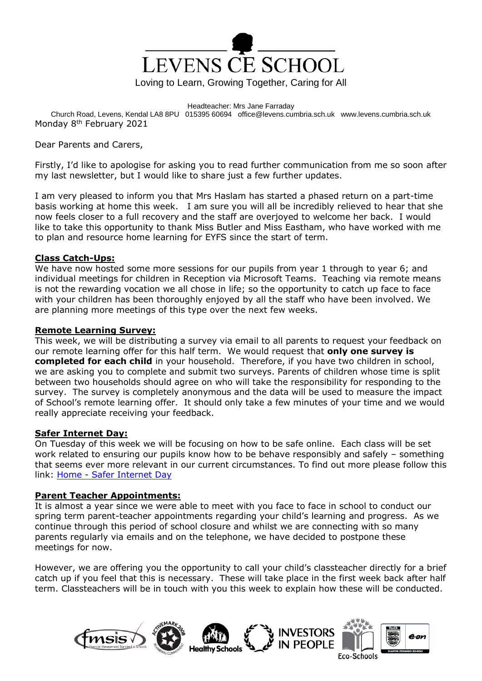

Headteacher: Mrs Jane Farraday Church Road, Levens, Kendal LA8 8PU 015395 60694 office@levens.cumbria.sch.uk www.levens.cumbria.sch.uk Monday 8th February 2021

Dear Parents and Carers,

Firstly, I'd like to apologise for asking you to read further communication from me so soon after my last newsletter, but I would like to share just a few further updates.

I am very pleased to inform you that Mrs Haslam has started a phased return on a part-time basis working at home this week. I am sure you will all be incredibly relieved to hear that she now feels closer to a full recovery and the staff are overjoyed to welcome her back. I would like to take this opportunity to thank Miss Butler and Miss Eastham, who have worked with me to plan and resource home learning for EYFS since the start of term.

# **Class Catch-Ups:**

We have now hosted some more sessions for our pupils from year 1 through to year 6; and individual meetings for children in Reception via Microsoft Teams. Teaching via remote means is not the rewarding vocation we all chose in life; so the opportunity to catch up face to face with your children has been thoroughly enjoyed by all the staff who have been involved. We are planning more meetings of this type over the next few weeks.

# **Remote Learning Survey:**

This week, we will be distributing a survey via email to all parents to request your feedback on our remote learning offer for this half term. We would request that **only one survey is completed for each child** in your household. Therefore, if you have two children in school, we are asking you to complete and submit two surveys. Parents of children whose time is split between two households should agree on who will take the responsibility for responding to the survey. The survey is completely anonymous and the data will be used to measure the impact of School's remote learning offer. It should only take a few minutes of your time and we would really appreciate receiving your feedback.

# **Safer Internet Day:**

On Tuesday of this week we will be focusing on how to be safe online. Each class will be set work related to ensuring our pupils know how to be behave responsibly and safely – something that seems ever more relevant in our current circumstances. To find out more please follow this link: Home - [Safer Internet Day](https://www.saferinternetday.org/)

### **Parent Teacher Appointments:**

It is almost a year since we were able to meet with you face to face in school to conduct our spring term parent-teacher appointments regarding your child's learning and progress. As we continue through this period of school closure and whilst we are connecting with so many parents regularly via emails and on the telephone, we have decided to postpone these meetings for now.

However, we are offering you the opportunity to call your child's classteacher directly for a brief catch up if you feel that this is necessary. These will take place in the first week back after half term. Classteachers will be in touch with you this week to explain how these will be conducted.